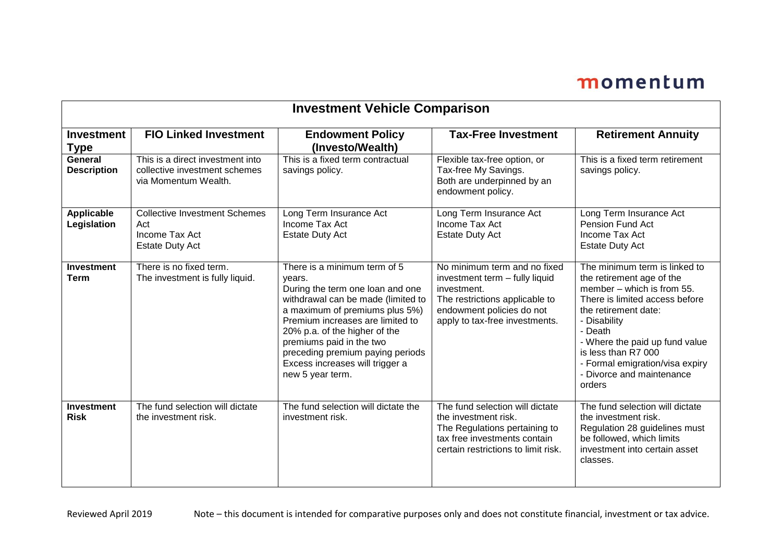| <b>Investment Vehicle Comparison</b> |                                                                                           |                                                                                                                                                                                                                                                                                                                                                |                                                                                                                                                                                |                                                                                                                                                                                                                                                                                                                  |
|--------------------------------------|-------------------------------------------------------------------------------------------|------------------------------------------------------------------------------------------------------------------------------------------------------------------------------------------------------------------------------------------------------------------------------------------------------------------------------------------------|--------------------------------------------------------------------------------------------------------------------------------------------------------------------------------|------------------------------------------------------------------------------------------------------------------------------------------------------------------------------------------------------------------------------------------------------------------------------------------------------------------|
| <b>Investment</b><br>Type            | <b>FIO Linked Investment</b>                                                              | <b>Endowment Policy</b><br>(Investo/Wealth)                                                                                                                                                                                                                                                                                                    | <b>Tax-Free Investment</b>                                                                                                                                                     | <b>Retirement Annuity</b>                                                                                                                                                                                                                                                                                        |
| General<br><b>Description</b>        | This is a direct investment into<br>collective investment schemes<br>via Momentum Wealth. | This is a fixed term contractual<br>savings policy.                                                                                                                                                                                                                                                                                            | Flexible tax-free option, or<br>Tax-free My Savings.<br>Both are underpinned by an<br>endowment policy.                                                                        | This is a fixed term retirement<br>savings policy.                                                                                                                                                                                                                                                               |
| <b>Applicable</b><br>Legislation     | <b>Collective Investment Schemes</b><br>Act<br>Income Tax Act<br><b>Estate Duty Act</b>   | Long Term Insurance Act<br>Income Tax Act<br><b>Estate Duty Act</b>                                                                                                                                                                                                                                                                            | Long Term Insurance Act<br>Income Tax Act<br><b>Estate Duty Act</b>                                                                                                            | Long Term Insurance Act<br>Pension Fund Act<br>Income Tax Act<br><b>Estate Duty Act</b>                                                                                                                                                                                                                          |
| <b>Investment</b><br>Term            | There is no fixed term.<br>The investment is fully liquid.                                | There is a minimum term of 5<br>years.<br>During the term one loan and one<br>withdrawal can be made (limited to<br>a maximum of premiums plus 5%)<br>Premium increases are limited to<br>20% p.a. of the higher of the<br>premiums paid in the two<br>preceding premium paying periods<br>Excess increases will trigger a<br>new 5 year term. | No minimum term and no fixed<br>investment term - fully liquid<br>investment.<br>The restrictions applicable to<br>endowment policies do not<br>apply to tax-free investments. | The minimum term is linked to<br>the retirement age of the<br>member - which is from 55.<br>There is limited access before<br>the retirement date:<br>- Disability<br>- Death<br>- Where the paid up fund value<br>is less than R7 000<br>- Formal emigration/visa expiry<br>- Divorce and maintenance<br>orders |
| <b>Investment</b><br><b>Risk</b>     | The fund selection will dictate<br>the investment risk.                                   | The fund selection will dictate the<br>investment risk.                                                                                                                                                                                                                                                                                        | The fund selection will dictate<br>the investment risk.<br>The Regulations pertaining to<br>tax free investments contain<br>certain restrictions to limit risk.                | The fund selection will dictate<br>the investment risk.<br>Regulation 28 guidelines must<br>be followed, which limits<br>investment into certain asset<br>classes.                                                                                                                                               |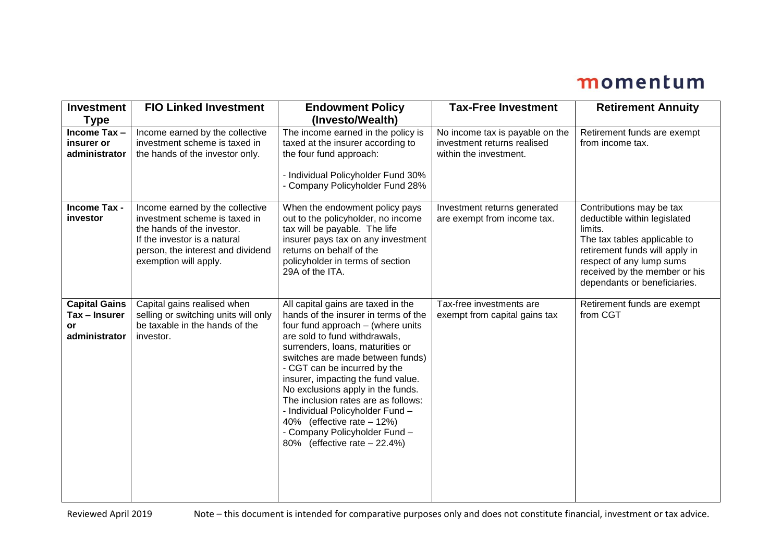| <b>Investment</b><br><b>Type</b>                             | <b>FIO Linked Investment</b>                                                                                                                                                                 | <b>Endowment Policy</b><br>(Investo/Wealth)                                                                                                                                                                                                                                                                                                                                                                                                                                                                   | <b>Tax-Free Investment</b>                                                               | <b>Retirement Annuity</b>                                                                                                                                                                                                          |
|--------------------------------------------------------------|----------------------------------------------------------------------------------------------------------------------------------------------------------------------------------------------|---------------------------------------------------------------------------------------------------------------------------------------------------------------------------------------------------------------------------------------------------------------------------------------------------------------------------------------------------------------------------------------------------------------------------------------------------------------------------------------------------------------|------------------------------------------------------------------------------------------|------------------------------------------------------------------------------------------------------------------------------------------------------------------------------------------------------------------------------------|
| Income Tax-<br>insurer or<br>administrator                   | Income earned by the collective<br>investment scheme is taxed in<br>the hands of the investor only.                                                                                          | The income earned in the policy is<br>taxed at the insurer according to<br>the four fund approach:<br>- Individual Policyholder Fund 30%<br>- Company Policyholder Fund 28%                                                                                                                                                                                                                                                                                                                                   | No income tax is payable on the<br>investment returns realised<br>within the investment. | Retirement funds are exempt<br>from income tax.                                                                                                                                                                                    |
| Income Tax -<br>investor                                     | Income earned by the collective<br>investment scheme is taxed in<br>the hands of the investor.<br>If the investor is a natural<br>person, the interest and dividend<br>exemption will apply. | When the endowment policy pays<br>out to the policyholder, no income<br>tax will be payable. The life<br>insurer pays tax on any investment<br>returns on behalf of the<br>policyholder in terms of section<br>29A of the ITA.                                                                                                                                                                                                                                                                                | Investment returns generated<br>are exempt from income tax.                              | Contributions may be tax<br>deductible within legislated<br>limits.<br>The tax tables applicable to<br>retirement funds will apply in<br>respect of any lump sums<br>received by the member or his<br>dependants or beneficiaries. |
| <b>Capital Gains</b><br>Tax - Insurer<br>or<br>administrator | Capital gains realised when<br>selling or switching units will only<br>be taxable in the hands of the<br>investor.                                                                           | All capital gains are taxed in the<br>hands of the insurer in terms of the<br>four fund approach - (where units<br>are sold to fund withdrawals,<br>surrenders, loans, maturities or<br>switches are made between funds)<br>- CGT can be incurred by the<br>insurer, impacting the fund value.<br>No exclusions apply in the funds.<br>The inclusion rates are as follows:<br>- Individual Policyholder Fund -<br>40% (effective rate - 12%)<br>- Company Policyholder Fund -<br>80% (effective rate - 22.4%) | Tax-free investments are<br>exempt from capital gains tax                                | Retirement funds are exempt<br>from CGT                                                                                                                                                                                            |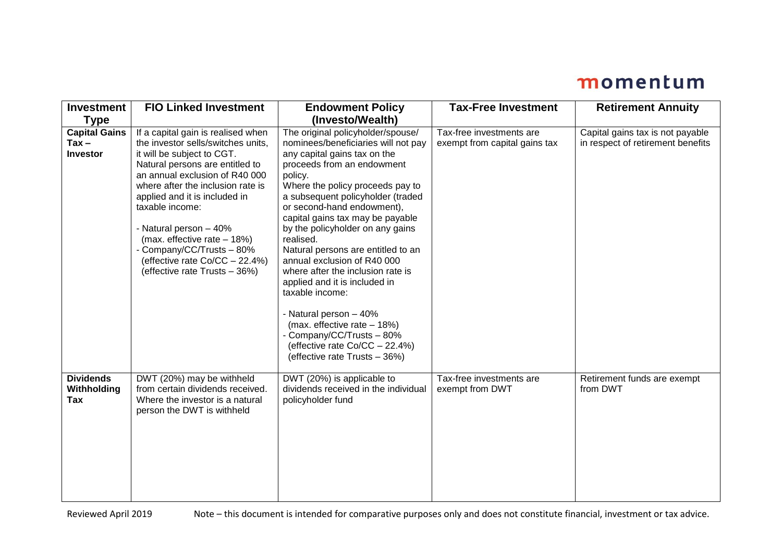| <b>Investment</b><br><b>Type</b>                   | <b>FIO Linked Investment</b>                                                                                                                                                                                                                                                                                                                                                                                                  | <b>Endowment Policy</b><br>(Investo/Wealth)                                                                                                                                                                                                                                                                                                                                                                                                                                                                                                                                                                                                                          | <b>Tax-Free Investment</b>                                | <b>Retirement Annuity</b>                                             |
|----------------------------------------------------|-------------------------------------------------------------------------------------------------------------------------------------------------------------------------------------------------------------------------------------------------------------------------------------------------------------------------------------------------------------------------------------------------------------------------------|----------------------------------------------------------------------------------------------------------------------------------------------------------------------------------------------------------------------------------------------------------------------------------------------------------------------------------------------------------------------------------------------------------------------------------------------------------------------------------------------------------------------------------------------------------------------------------------------------------------------------------------------------------------------|-----------------------------------------------------------|-----------------------------------------------------------------------|
| <b>Capital Gains</b><br>$Tax -$<br><b>Investor</b> | If a capital gain is realised when<br>the investor sells/switches units,<br>it will be subject to CGT.<br>Natural persons are entitled to<br>an annual exclusion of R40 000<br>where after the inclusion rate is<br>applied and it is included in<br>taxable income:<br>- Natural person - 40%<br>(max. effective rate - 18%)<br>- Company/CC/Trusts - 80%<br>(effective rate Co/CC - 22.4%)<br>(effective rate Trusts - 36%) | The original policyholder/spouse/<br>nominees/beneficiaries will not pay<br>any capital gains tax on the<br>proceeds from an endowment<br>policy.<br>Where the policy proceeds pay to<br>a subsequent policyholder (traded<br>or second-hand endowment),<br>capital gains tax may be payable<br>by the policyholder on any gains<br>realised.<br>Natural persons are entitled to an<br>annual exclusion of R40 000<br>where after the inclusion rate is<br>applied and it is included in<br>taxable income:<br>- Natural person - 40%<br>(max. effective rate - 18%)<br>- Company/CC/Trusts - 80%<br>(effective rate Co/CC - 22.4%)<br>(effective rate Trusts - 36%) | Tax-free investments are<br>exempt from capital gains tax | Capital gains tax is not payable<br>in respect of retirement benefits |
| <b>Dividends</b><br>Withholding<br>Tax             | DWT (20%) may be withheld<br>from certain dividends received.<br>Where the investor is a natural<br>person the DWT is withheld                                                                                                                                                                                                                                                                                                | DWT (20%) is applicable to<br>dividends received in the individual<br>policyholder fund                                                                                                                                                                                                                                                                                                                                                                                                                                                                                                                                                                              | Tax-free investments are<br>exempt from DWT               | Retirement funds are exempt<br>from DWT                               |